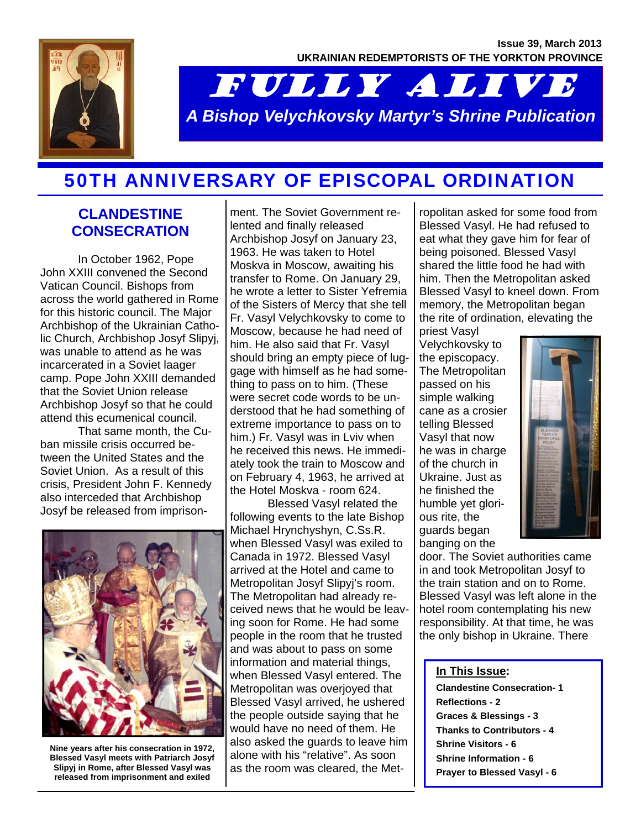

# FULLY ALIVE *A Bishop Velychkovsky Martyr's Shrine Publication*

## 50TH ANNIVERSARY OF EPISCOPAL ORDINATION

### **CLANDESTINE CONSECRATION**

In October 1962, Pope John XXIII convened the Second Vatican Council. Bishops from across the world gathered in Rome for this historic council. The Major Archbishop of the Ukrainian Catholic Church, Archbishop Josyf Slipyj, was unable to attend as he was incarcerated in a Soviet laager camp. Pope John XXIII demanded that the Soviet Union release Archbishop Josyf so that he could attend this ecumenical council.

That same month, the Cuban missile crisis occurred between the United States and the Soviet Union. As a result of this crisis, President John F. Kennedy also interceded that Archbishop Josyf be released from imprison-



**Nine years after his consecration in 1972, Blessed Vasyl meets with Patriarch Josyf Slipyj in Rome, after Blessed Vasyl was released from imprisonment and exiled** 

ment. The Soviet Government relented and finally released Archbishop Josyf on January 23, 1963. He was taken to Hotel Moskva in Moscow, awaiting his transfer to Rome. On January 29, he wrote a letter to Sister Yefremia of the Sisters of Mercy that she tell Fr. Vasyl Velychkovsky to come to Moscow, because he had need of him. He also said that Fr. Vasyl should bring an empty piece of luggage with himself as he had something to pass on to him. (These were secret code words to be understood that he had something of extreme importance to pass on to him.) Fr. Vasyl was in Lviv when he received this news. He immediately took the train to Moscow and on February 4, 1963, he arrived at the Hotel Moskva - room 624.

Blessed Vasyl related the following events to the late Bishop Michael Hrynchyshyn, C.Ss.R. when Blessed Vasyl was exiled to Canada in 1972. Blessed Vasyl arrived at the Hotel and came to Metropolitan Josyf Slipyj's room. The Metropolitan had already received news that he would be leaving soon for Rome. He had some people in the room that he trusted and was about to pass on some information and material things, when Blessed Vasyl entered. The Metropolitan was overjoyed that Blessed Vasyl arrived, he ushered the people outside saying that he would have no need of them. He also asked the guards to leave him alone with his "relative". As soon as the room was cleared, the Met-

ropolitan asked for some food from Blessed Vasyl. He had refused to eat what they gave him for fear of being poisoned. Blessed Vasyl shared the little food he had with him. Then the Metropolitan asked Blessed Vasyl to kneel down. From memory, the Metropolitan began the rite of ordination, elevating the

priest Vasyl Velychkovsky to the episcopacy. The Metropolitan passed on his simple walking cane as a crosier telling Blessed Vasyl that now he was in charge of the church in Ukraine. Just as he finished the humble yet glorious rite, the guards began banging on the



door. The Soviet authorities came in and took Metropolitan Josyf to the train station and on to Rome. Blessed Vasyl was left alone in the hotel room contemplating his new responsibility. At that time, he was the only bishop in Ukraine. There

#### **In This Issue:**

**Clandestine Consecration- 1 Reflections - 2 Graces & Blessings - 3 Thanks to Contributors - 4 Shrine Visitors - 6 Shrine Information - 6 Prayer to Blessed Vasyl - 6**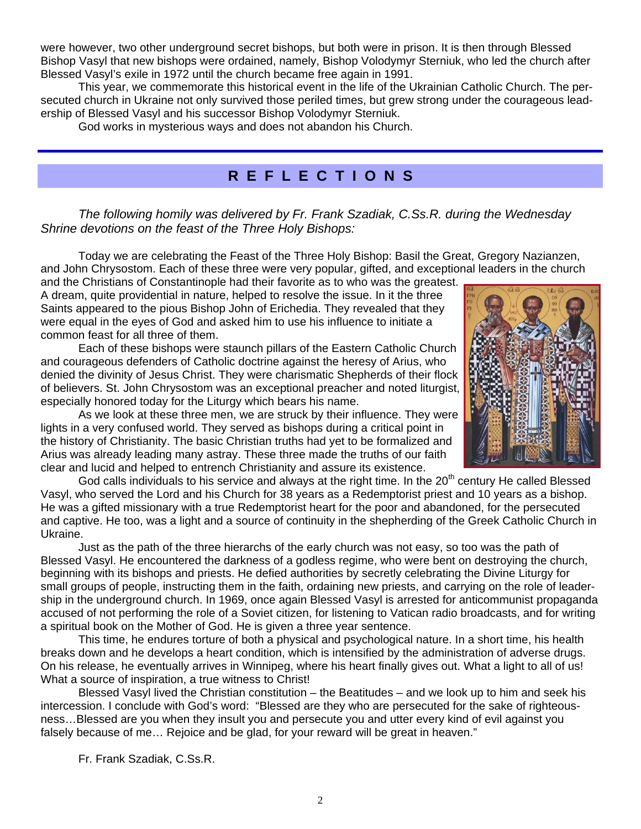were however, two other underground secret bishops, but both were in prison. It is then through Blessed Bishop Vasyl that new bishops were ordained, namely, Bishop Volodymyr Sterniuk, who led the church after Blessed Vasyl's exile in 1972 until the church became free again in 1991.

This year, we commemorate this historical event in the life of the Ukrainian Catholic Church. The persecuted church in Ukraine not only survived those periled times, but grew strong under the courageous leadership of Blessed Vasyl and his successor Bishop Volodymyr Sterniuk.

God works in mysterious ways and does not abandon his Church.

## **R E F L E C T I O N S**

*The following homily was delivered by Fr. Frank Szadiak, C.Ss.R. during the Wednesday Shrine devotions on the feast of the Three Holy Bishops:* 

Today we are celebrating the Feast of the Three Holy Bishop: Basil the Great, Gregory Nazianzen, and John Chrysostom. Each of these three were very popular, gifted, and exceptional leaders in the church

and the Christians of Constantinople had their favorite as to who was the greatest. A dream, quite providential in nature, helped to resolve the issue. In it the three Saints appeared to the pious Bishop John of Erichedia. They revealed that they were equal in the eyes of God and asked him to use his influence to initiate a common feast for all three of them.

Each of these bishops were staunch pillars of the Eastern Catholic Church and courageous defenders of Catholic doctrine against the heresy of Arius, who denied the divinity of Jesus Christ. They were charismatic Shepherds of their flock of believers. St. John Chrysostom was an exceptional preacher and noted liturgist, especially honored today for the Liturgy which bears his name.



As we look at these three men, we are struck by their influence. They were lights in a very confused world. They served as bishops during a critical point in the history of Christianity. The basic Christian truths had yet to be formalized and Arius was already leading many astray. These three made the truths of our faith clear and lucid and helped to entrench Christianity and assure its existence.

God calls individuals to his service and always at the right time. In the  $20<sup>th</sup>$  century He called Blessed Vasyl, who served the Lord and his Church for 38 years as a Redemptorist priest and 10 years as a bishop. He was a gifted missionary with a true Redemptorist heart for the poor and abandoned, for the persecuted and captive. He too, was a light and a source of continuity in the shepherding of the Greek Catholic Church in Ukraine.

Just as the path of the three hierarchs of the early church was not easy, so too was the path of Blessed Vasyl. He encountered the darkness of a godless regime, who were bent on destroying the church, beginning with its bishops and priests. He defied authorities by secretly celebrating the Divine Liturgy for small groups of people, instructing them in the faith, ordaining new priests, and carrying on the role of leadership in the underground church. In 1969, once again Blessed Vasyl is arrested for anticommunist propaganda accused of not performing the role of a Soviet citizen, for listening to Vatican radio broadcasts, and for writing a spiritual book on the Mother of God. He is given a three year sentence.

This time, he endures torture of both a physical and psychological nature. In a short time, his health breaks down and he develops a heart condition, which is intensified by the administration of adverse drugs. On his release, he eventually arrives in Winnipeg, where his heart finally gives out. What a light to all of us! What a source of inspiration, a true witness to Christ!

Blessed Vasyl lived the Christian constitution – the Beatitudes – and we look up to him and seek his intercession. I conclude with God's word: "Blessed are they who are persecuted for the sake of righteousness…Blessed are you when they insult you and persecute you and utter every kind of evil against you falsely because of me… Rejoice and be glad, for your reward will be great in heaven."

Fr. Frank Szadiak, C.Ss.R.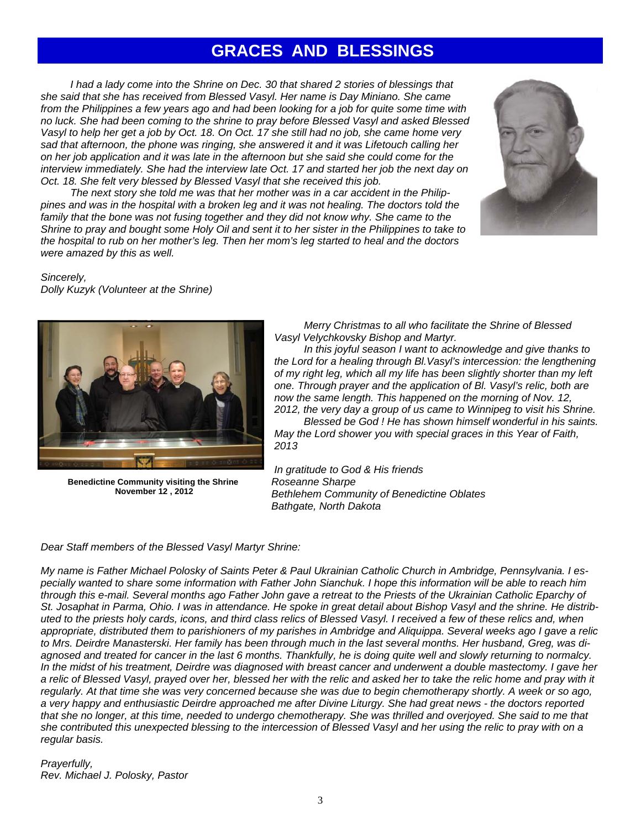## **GRACES AND BLESSINGS**

*I* had a lady come into the Shrine on Dec. 30 that shared 2 stories of blessings that *she said that she has received from Blessed Vasyl. Her name is Day Miniano. She came from the Philippines a few years ago and had been looking for a job for quite some time with no luck. She had been coming to the shrine to pray before Blessed Vasyl and asked Blessed Vasyl to help her get a job by Oct. 18. On Oct. 17 she still had no job, she came home very sad that afternoon, the phone was ringing, she answered it and it was Lifetouch calling her on her job application and it was late in the afternoon but she said she could come for the interview immediately. She had the interview late Oct. 17 and started her job the next day on Oct. 18. She felt very blessed by Blessed Vasyl that she received this job.* 

 *The next story she told me was that her mother was in a car accident in the Philippines and was in the hospital with a broken leg and it was not healing. The doctors told the*  family that the bone was not fusing together and they did not know why. She came to the *Shrine to pray and bought some Holy Oil and sent it to her sister in the Philippines to take to the hospital to rub on her mother's leg. Then her mom's leg started to heal and the doctors were amazed by this as well.* 



*Sincerely, Dolly Kuzyk (Volunteer at the Shrine)* 



**Benedictine Community visiting the Shrine November 12 , 2012** 

 *Merry Christmas to all who facilitate the Shrine of Blessed Vasyl Velychkovsky Bishop and Martyr.* 

 *In this joyful season I want to acknowledge and give thanks to the Lord for a healing through Bl.Vasyl's intercession: the lengthening of my right leg, which all my life has been slightly shorter than my left one. Through prayer and the application of Bl. Vasyl's relic, both are now the same length. This happened on the morning of Nov. 12, 2012, the very day a group of us came to Winnipeg to visit his Shrine.* 

 *Blessed be God ! He has shown himself wonderful in his saints. May the Lord shower you with special graces in this Year of Faith, 2013* 

*In gratitude to God & His friends Roseanne Sharpe Bethlehem Community of Benedictine Oblates Bathgate, North Dakota* 

#### *Dear Staff members of the Blessed Vasyl Martyr Shrine:*

*My name is Father Michael Polosky of Saints Peter & Paul Ukrainian Catholic Church in Ambridge, Pennsylvania. I especially wanted to share some information with Father John Sianchuk. I hope this information will be able to reach him through this e-mail. Several months ago Father John gave a retreat to the Priests of the Ukrainian Catholic Eparchy of St. Josaphat in Parma, Ohio. I was in attendance. He spoke in great detail about Bishop Vasyl and the shrine. He distributed to the priests holy cards, icons, and third class relics of Blessed Vasyl. I received a few of these relics and, when appropriate, distributed them to parishioners of my parishes in Ambridge and Aliquippa. Several weeks ago I gave a relic to Mrs. Deirdre Manasterski. Her family has been through much in the last several months. Her husband, Greg, was diagnosed and treated for cancer in the last 6 months. Thankfully, he is doing quite well and slowly returning to normalcy.*  In the midst of his treatment, Deirdre was diagnosed with breast cancer and underwent a double mastectomy. I gave her *a relic of Blessed Vasyl, prayed over her, blessed her with the relic and asked her to take the relic home and pray with it*  regularly. At that time she was very concerned because she was due to begin chemotherapy shortly. A week or so ago, *a very happy and enthusiastic Deirdre approached me after Divine Liturgy. She had great news - the doctors reported that she no longer, at this time, needed to undergo chemotherapy. She was thrilled and overjoyed. She said to me that she contributed this unexpected blessing to the intercession of Blessed Vasyl and her using the relic to pray with on a regular basis.* 

*Prayerfully, Rev. Michael J. Polosky, Pastor*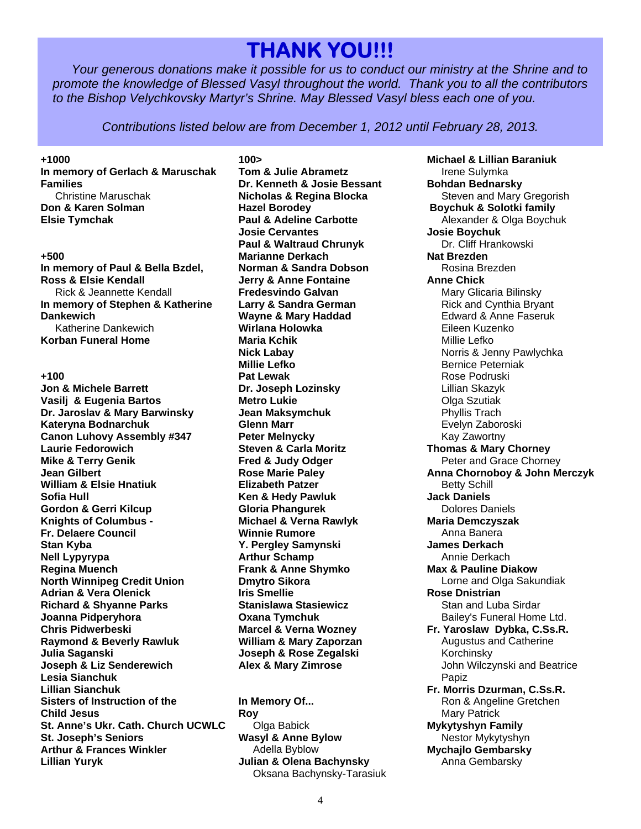## **THANK YOU!!!**

*Your generous donations make it possible for us to conduct our ministry at the Shrine and to promote the knowledge of Blessed Vasyl throughout the world. Thank you to all the contributors to the Bishop Velychkovsky Martyr's Shrine. May Blessed Vasyl bless each one of you.* 

*Contributions listed below are from December 1, 2012 until February 28, 2013.* 

#### **+1000**

**In memory of Gerlach & Maruschak Families**  Christine Maruschak **Don & Karen Solman Elsie Tymchak** 

#### **+500**

**In memory of Paul & Bella Bzdel, Ross & Elsie Kendall**  Rick & Jeannette Kendall **In memory of Stephen & Katherine Dankewich**  Katherine Dankewich **Korban Funeral Home** 

#### **+100**

**Jon & Michele Barrett Vasilj & Eugenia Bartos Dr. Jaroslav & Mary Barwinsky Kateryna Bodnarchuk Canon Luhovy Assembly #347 Laurie Fedorowich Mike & Terry Genik Jean Gilbert William & Elsie Hnatiuk Sofia Hull Gordon & Gerri Kilcup Knights of Columbus - Fr. Delaere Council Stan Kyba Nell Lypyrypa Regina Muench North Winnipeg Credit Union Adrian & Vera Olenick Richard & Shyanne Parks Joanna Pidperyhora Chris Pidwerbeski Raymond & Beverly Rawluk Julia Saganski Joseph & Liz Senderewich Lesia Sianchuk Lillian Sianchuk Sisters of Instruction of the Child Jesus St. Anne's Ukr. Cath. Church UCWLC St. Joseph's Seniors Arthur & Frances Winkler Lillian Yuryk** 

**100> Tom & Julie Abrametz Dr. Kenneth & Josie Bessant Nicholas & Regina Blocka Hazel Borodey Paul & Adeline Carbotte Josie Cervantes Paul & Waltraud Chrunyk Marianne Derkach Norman & Sandra Dobson Jerry & Anne Fontaine Fredesvindo Galvan Larry & Sandra German Wayne & Mary Haddad Wirlana Holowka Maria Kchik Nick Labay Millie Lefko Pat Lewak Dr. Joseph Lozinsky Metro Lukie Jean Maksymchuk Glenn Marr Peter Melnycky Steven & Carla Moritz Fred & Judy Odger Rose Marie Paley Elizabeth Patzer Ken & Hedy Pawluk Gloria Phangurek Michael & Verna Rawlyk Winnie Rumore Y. Pergley Samynski Arthur Schamp Frank & Anne Shymko Dmytro Sikora Iris Smellie Stanislawa Stasiewicz Oxana Tymchuk Marcel & Verna Wozney William & Mary Zaporzan Joseph & Rose Zegalski Alex & Mary Zimrose** 

**In Memory Of... Roy**  Olga Babick **Wasyl & Anne Bylow**  Adella Byblow **Julian & Olena Bachynsky**  Oksana Bachynsky-Tarasiuk

**Michael & Lillian Baraniuk**  Irene Sulymka **Bohdan Bednarsky**  Steven and Mary Gregorish  **Boychuk & Solotki family**  Alexander & Olga Boychuk **Josie Boychuk**  Dr. Cliff Hrankowski **Nat Brezden**  Rosina Brezden **Anne Chick**  Mary Glicaria Bilinsky Rick and Cynthia Bryant Edward & Anne Faseruk Eileen Kuzenko Millie Lefko Norris & Jenny Pawlychka Bernice Peterniak Rose Podruski Lillian Skazyk Olga Szutiak Phyllis Trach Evelyn Zaboroski Kay Zawortny **Thomas & Mary Chorney**  Peter and Grace Chorney **Anna Chornoboy & John Merczyk**  Betty Schill **Jack Daniels**  Dolores Daniels **Maria Demczyszak**  Anna Banera **James Derkach**  Annie Derkach **Max & Pauline Diakow**  Lorne and Olga Sakundiak **Rose Dnistrian**  Stan and Luba Sirdar Bailey's Funeral Home Ltd. **Fr. Yaroslaw Dybka, C.Ss.R.**  Augustus and Catherine Korchinsky John Wilczynski and Beatrice Papiz **Fr. Morris Dzurman, C.Ss.R.**  Ron & Angeline Gretchen Mary Patrick **Mykytyshyn Family**  Nestor Mykytyshyn **Mychajlo Gembarsky**  Anna Gembarsky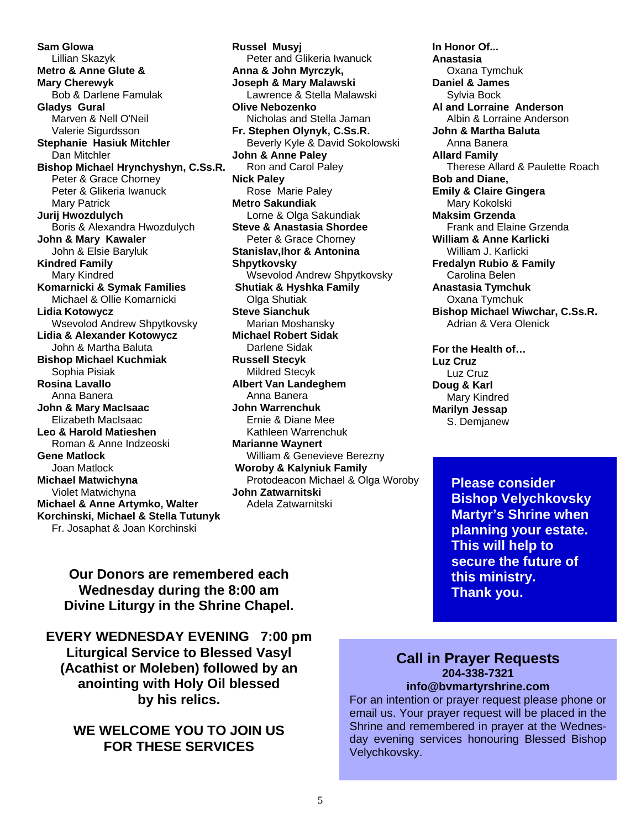**Sam Glowa**  Lillian Skazyk **Metro & Anne Glute & Mary Cherewyk**  Bob & Darlene Famulak **Gladys Gural**  Marven & Nell O'Neil Valerie Sigurdsson **Stephanie Hasiuk Mitchler**  Dan Mitchler **Bishop Michael Hrynchyshyn, C.Ss.R.**  Peter & Grace Chorney Peter & Glikeria Iwanuck Mary Patrick **Jurij Hwozdulych**  Boris & Alexandra Hwozdulych **John & Mary Kawaler**  John & Elsie Baryluk **Kindred Family**  Mary Kindred **Komarnicki & Symak Families**  Michael & Ollie Komarnicki **Lidia Kotowycz**  Wsevolod Andrew Shpytkovsky **Lidia & Alexander Kotowycz**  John & Martha Baluta **Bishop Michael Kuchmiak**  Sophia Pisiak **Rosina Lavallo**  Anna Banera **John & Mary MacIsaac**  Elizabeth MacIsaac **Leo & Harold Matieshen**  Roman & Anne Indzeoski **Gene Matlock**  Joan Matlock **Michael Matwichyna**  Violet Matwichyna **Michael & Anne Artymko, Walter Korchinski, Michael & Stella Tutunyk**  Fr. Josaphat & Joan Korchinski

**Russel Musyj**  Peter and Glikeria Iwanuck **Anna & John Myrczyk, Joseph & Mary Malawski**  Lawrence & Stella Malawski **Olive Nebozenko**  Nicholas and Stella Jaman **Fr. Stephen Olynyk, C.Ss.R.**  Beverly Kyle & David Sokolowski **John & Anne Paley**  Ron and Carol Paley **Nick Paley**  Rose Marie Paley **Metro Sakundiak**  Lorne & Olga Sakundiak **Steve & Anastasia Shordee**  Peter & Grace Chorney **Stanislav,Ihor & Antonina Shpytkovsky**  Wsevolod Andrew Shpytkovsky  **Shutiak & Hyshka Family**  Olga Shutiak **Steve Sianchuk**  Marian Moshansky **Michael Robert Sidak**  Darlene Sidak **Russell Stecyk**  Mildred Stecyk **Albert Van Landeghem**  Anna Banera **John Warrenchuk**  Ernie & Diane Mee Kathleen Warrenchuk **Marianne Waynert**  William & Genevieve Berezny  **Woroby & Kalyniuk Family**  Protodeacon Michael & Olga Woroby **John Zatwarnitski** 

Adela Zatwarnitski

**In Honor Of... Anastasia**  Oxana Tymchuk **Daniel & James**  Sylvia Bock **Al and Lorraine Anderson**  Albin & Lorraine Anderson **John & Martha Baluta**  Anna Banera **Allard Family**  Therese Allard & Paulette Roach **Bob and Diane, Emily & Claire Gingera**  Mary Kokolski **Maksim Grzenda**  Frank and Elaine Grzenda **William & Anne Karlicki**  William J. Karlicki **Fredalyn Rubio & Family**  Carolina Belen **Anastasia Tymchuk**  Oxana Tymchuk **Bishop Michael Wiwchar, C.Ss.R.**  Adrian & Vera Olenick

**For the Health of… Luz Cruz**  Luz Cruz **Doug & Karl**  Mary Kindred **Marilyn Jessap**  S. Demjanew

> **Please consider Bishop Velychkovsky Martyr's Shrine when planning your estate. This will help to secure the future of this ministry. Thank you.**

**Our Donors are remembered each Wednesday during the 8:00 am Divine Liturgy in the Shrine Chapel.** 

**EVERY WEDNESDAY EVENING 7:00 pm Liturgical Service to Blessed Vasyl (Acathist or Moleben) followed by an anointing with Holy Oil blessed by his relics.** 

**WE WELCOME YOU TO JOIN US FOR THESE SERVICES**

#### **Call in Prayer Requests 204-338-7321 info@bvmartyrshrine.com**

For an intention or prayer request please phone or email us. Your prayer request will be placed in the Shrine and remembered in prayer at the Wednesday evening services honouring Blessed Bishop Velychkovsky.